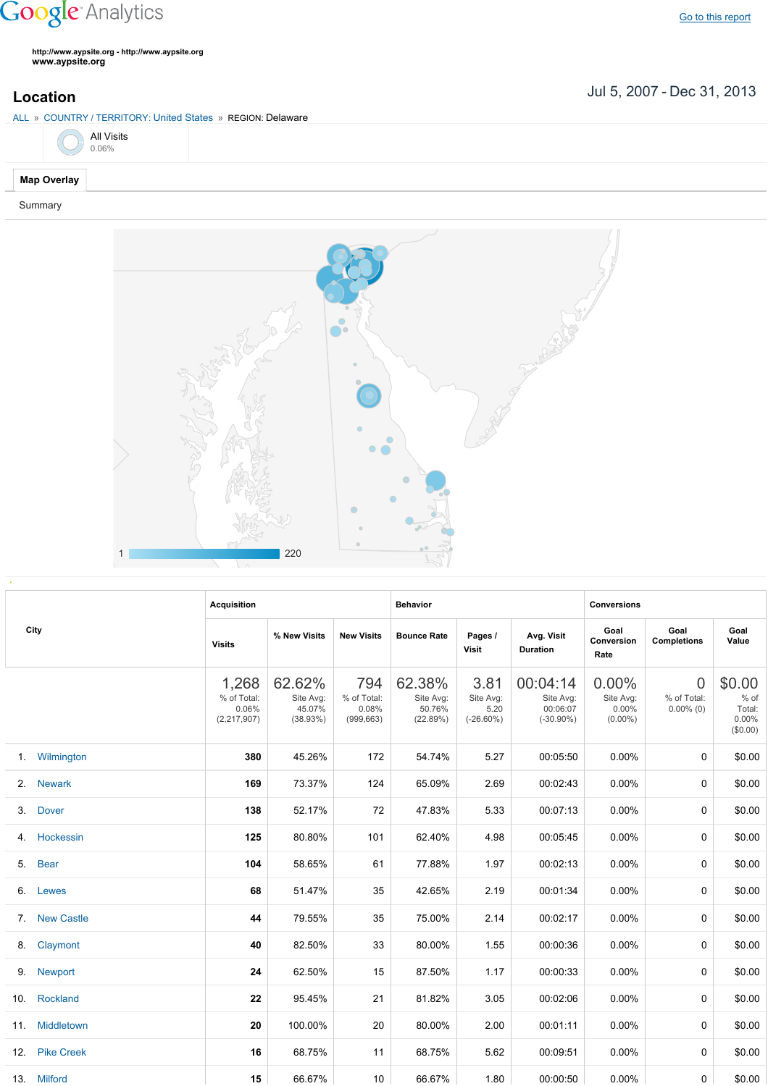## **Google** Analytics

**http://www.aypsite.org http://www.aypsite.org www.aypsite.org**

Jul 5, 2007 Dec 31, 2013 **Location**



Summary



|    | City           | <b>Acquisition</b>                           |                                           |                                           | <b>Behavior</b>                           |                                           |                                                   | <b>Conversions</b>                           |                                               |                                                    |
|----|----------------|----------------------------------------------|-------------------------------------------|-------------------------------------------|-------------------------------------------|-------------------------------------------|---------------------------------------------------|----------------------------------------------|-----------------------------------------------|----------------------------------------------------|
|    |                | <b>Visits</b>                                | % New Visits                              | <b>New Visits</b>                         | <b>Bounce Rate</b>                        | Pages /<br>Visit                          | Avg. Visit<br><b>Duration</b>                     | Goal<br>Conversion<br>Rate                   | Goal<br><b>Completions</b>                    | Goal<br>Value                                      |
|    |                | 1,268<br>% of Total:<br>0.06%<br>(2,217,907) | 62.62%<br>Site Avg:<br>45.07%<br>(38.93%) | 794<br>% of Total:<br>0.08%<br>(999, 663) | 62.38%<br>Site Avg:<br>50.76%<br>(22.89%) | 3.81<br>Site Avg:<br>5.20<br>$(-26.60\%)$ | 00:04:14<br>Site Avg:<br>00:06:07<br>$(-30.90\%)$ | 0.00%<br>Site Avg:<br>$0.00\%$<br>$(0.00\%)$ | $\overline{0}$<br>% of Total:<br>$0.00\%$ (0) | \$0.00<br>$%$ of<br>Total:<br>$0.00\%$<br>(\$0.00) |
|    | 1. Wilmington  | 380                                          | 45.26%                                    | 172                                       | 54.74%                                    | 5.27                                      | 00:05:50                                          | 0.00%                                        | $\Omega$                                      | \$0.00                                             |
|    | 2. Newark      | 169                                          | 73.37%                                    | 124                                       | 65.09%                                    | 2.69                                      | 00:02:43                                          | 0.00%                                        | $\Omega$                                      | \$0.00                                             |
|    | 3. Dover       | 138                                          | 52.17%                                    | 72                                        | 47.83%                                    | 5.33                                      | 00:07:13                                          | $0.00\%$                                     | $\Omega$                                      | \$0.00                                             |
| 4. | Hockessin      | 125                                          | 80.80%                                    | 101                                       | 62.40%                                    | 4.98                                      | 00:05:45                                          | 0.00%                                        | $\Omega$                                      | \$0.00                                             |
|    | 5. Bear        | 104                                          | 58.65%                                    | 61                                        | 77.88%                                    | 1.97                                      | 00:02:13                                          | 0.00%                                        | $\Omega$                                      | \$0.00                                             |
|    | 6. Lewes       | 68                                           | 51.47%                                    | 35                                        | 42.65%                                    | 2.19                                      | 00:01:34                                          | 0.00%                                        | $\Omega$                                      | \$0.00                                             |
|    | 7. New Castle  | 44                                           | 79.55%                                    | 35                                        | 75.00%                                    | 2.14                                      | 00:02:17                                          | 0.00%                                        | 0                                             | \$0.00                                             |
|    | 8. Claymont    | 40                                           | 82.50%                                    | 33                                        | 80.00%                                    | 1.55                                      | 00:00:36                                          | 0.00%                                        | $\Omega$                                      | \$0.00                                             |
|    | 9. Newport     | 24                                           | 62.50%                                    | 15                                        | 87.50%                                    | 1.17                                      | 00:00:33                                          | 0.00%                                        | $\Omega$                                      | \$0.00                                             |
|    | 10. Rockland   | 22                                           | 95.45%                                    | 21                                        | 81.82%                                    | 3.05                                      | 00:02:06                                          | 0.00%                                        | 0                                             | \$0.00                                             |
|    | 11. Middletown | 20                                           | 100.00%                                   | 20                                        | 80.00%                                    | 2.00                                      | 00:01:11                                          | 0.00%                                        | $\Omega$                                      | \$0.00                                             |
|    | 12. Pike Creek | 16                                           | 68.75%                                    | 11                                        | 68.75%                                    | 5.62                                      | 00:09:51                                          | 0.00%                                        | $\Omega$                                      | \$0.00                                             |
|    | 13. Milford    | 15                                           | 66.67%                                    | 10                                        | 66.67%                                    | 1.80                                      | 00:00:50                                          | 0.00%                                        | 0                                             | \$0.00                                             |